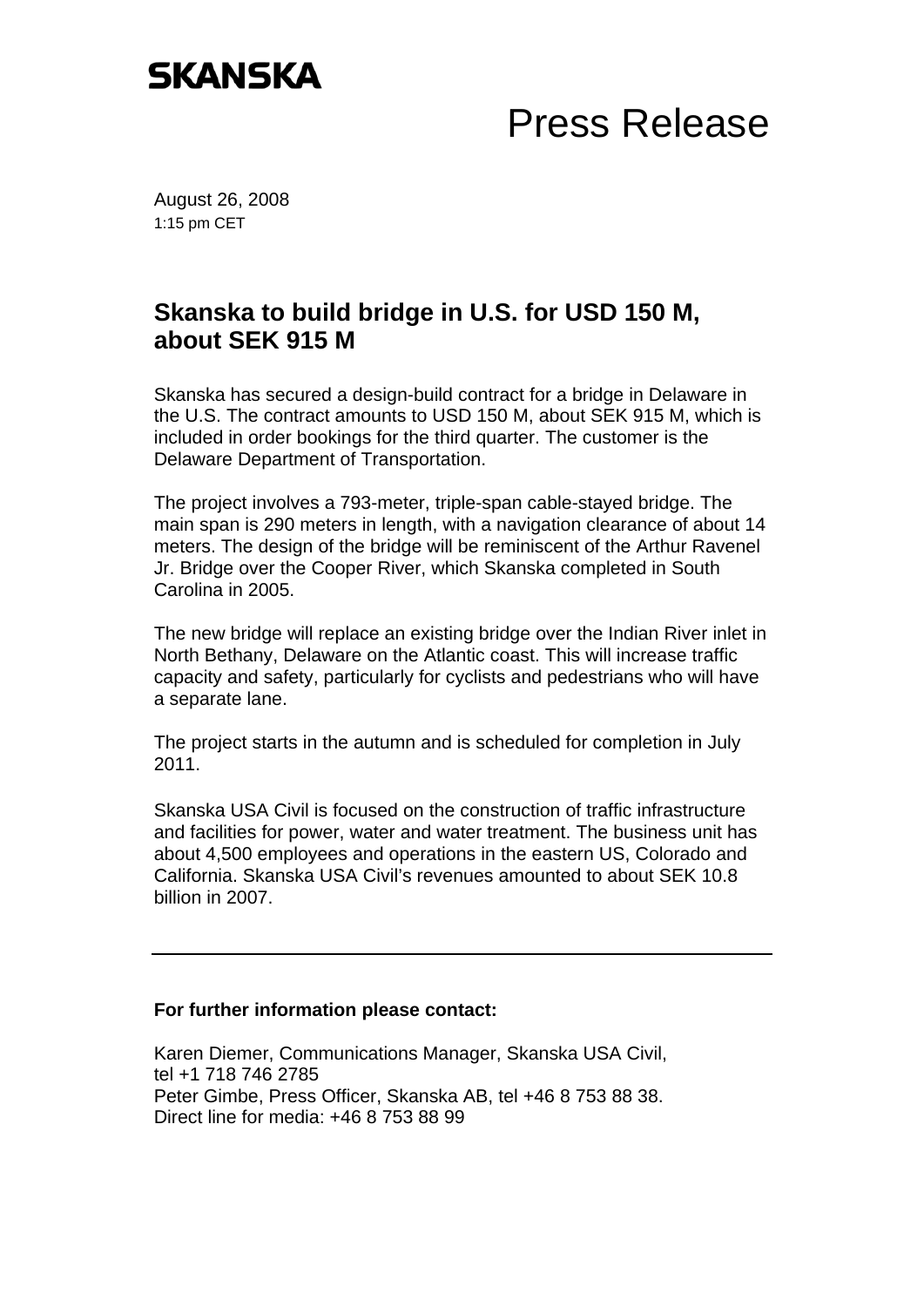## **SKANSKA**

## Press Release

August 26, 2008 1:15 pm CET

## **Skanska to build bridge in U.S. for USD 150 M, about SEK 915 M**

Skanska has secured a design-build contract for a bridge in Delaware in the U.S. The contract amounts to USD 150 M, about SEK 915 M, which is included in order bookings for the third quarter. The customer is the Delaware Department of Transportation.

The project involves a 793-meter, triple-span cable-stayed bridge. The main span is 290 meters in length, with a navigation clearance of about 14 meters. The design of the bridge will be reminiscent of the Arthur Ravenel Jr. Bridge over the Cooper River, which Skanska completed in South Carolina in 2005.

The new bridge will replace an existing bridge over the Indian River inlet in North Bethany, Delaware on the Atlantic coast. This will increase traffic capacity and safety, particularly for cyclists and pedestrians who will have a separate lane.

The project starts in the autumn and is scheduled for completion in July 2011.

Skanska USA Civil is focused on the construction of traffic infrastructure and facilities for power, water and water treatment. The business unit has about 4,500 employees and operations in the eastern US, Colorado and California. Skanska USA Civil's revenues amounted to about SEK 10.8 billion in 2007.

## **For further information please contact:**

Karen Diemer, Communications Manager, Skanska USA Civil, tel +1 718 746 2785 Peter Gimbe, Press Officer, Skanska AB, tel +46 8 753 88 38. Direct line for media: +46 8 753 88 99